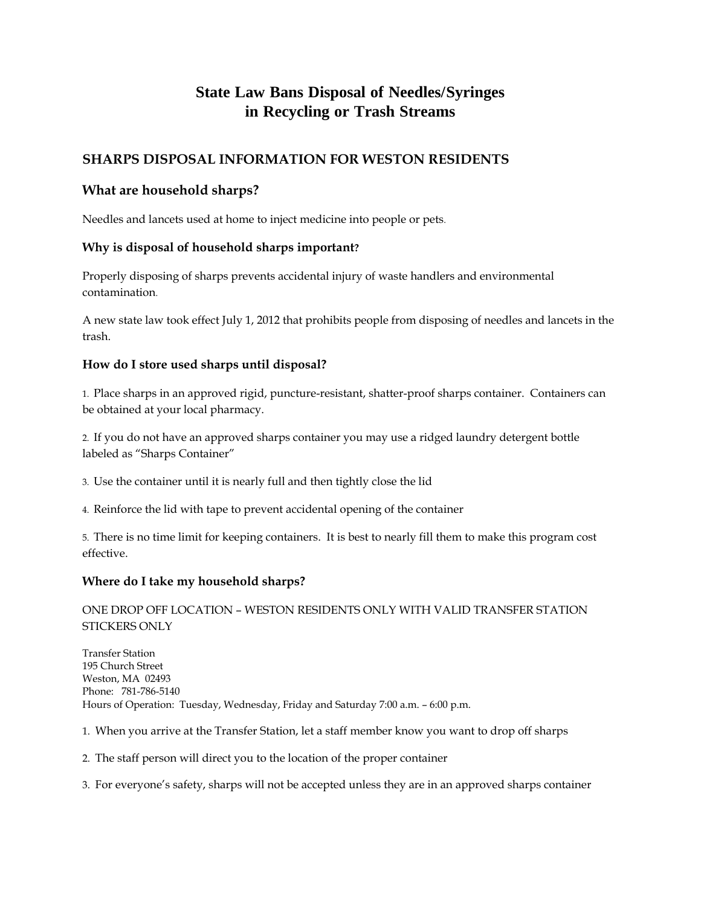# **State Law Bans Disposal of Needles/Syringes in Recycling or Trash Streams**

## **SHARPS DISPOSAL INFORMATION FOR WESTON RESIDENTS**

### **What are household sharps?**

Needles and lancets used at home to inject medicine into people or pets.

#### **Why is disposal of household sharps important?**

Properly disposing of sharps prevents accidental injury of waste handlers and environmental contamination.

A new state law took effect July 1, 2012 that prohibits people from disposing of needles and lancets in the trash.

#### **How do I store used sharps until disposal?**

1. Place sharps in an approved rigid, puncture-resistant, shatter-proof sharps container. Containers can be obtained at your local pharmacy.

2. If you do not have an approved sharps container you may use a ridged laundry detergent bottle labeled as "Sharps Container"

- 3. Use the container until it is nearly full and then tightly close the lid
- 4. Reinforce the lid with tape to prevent accidental opening of the container

5. There is no time limit for keeping containers. It is best to nearly fill them to make this program cost effective.

#### **Where do I take my household sharps?**

#### ONE DROP OFF LOCATION – WESTON RESIDENTS ONLY WITH VALID TRANSFER STATION STICKERS ONLY

Transfer Station 195 Church Street Weston, MA 02493 Phone: 781-786-5140 Hours of Operation: Tuesday, Wednesday, Friday and Saturday 7:00 a.m. – 6:00 p.m.

- 1. When you arrive at the Transfer Station, let a staff member know you want to drop off sharps
- 2. The staff person will direct you to the location of the proper container
- 3. For everyone's safety, sharps will not be accepted unless they are in an approved sharps container